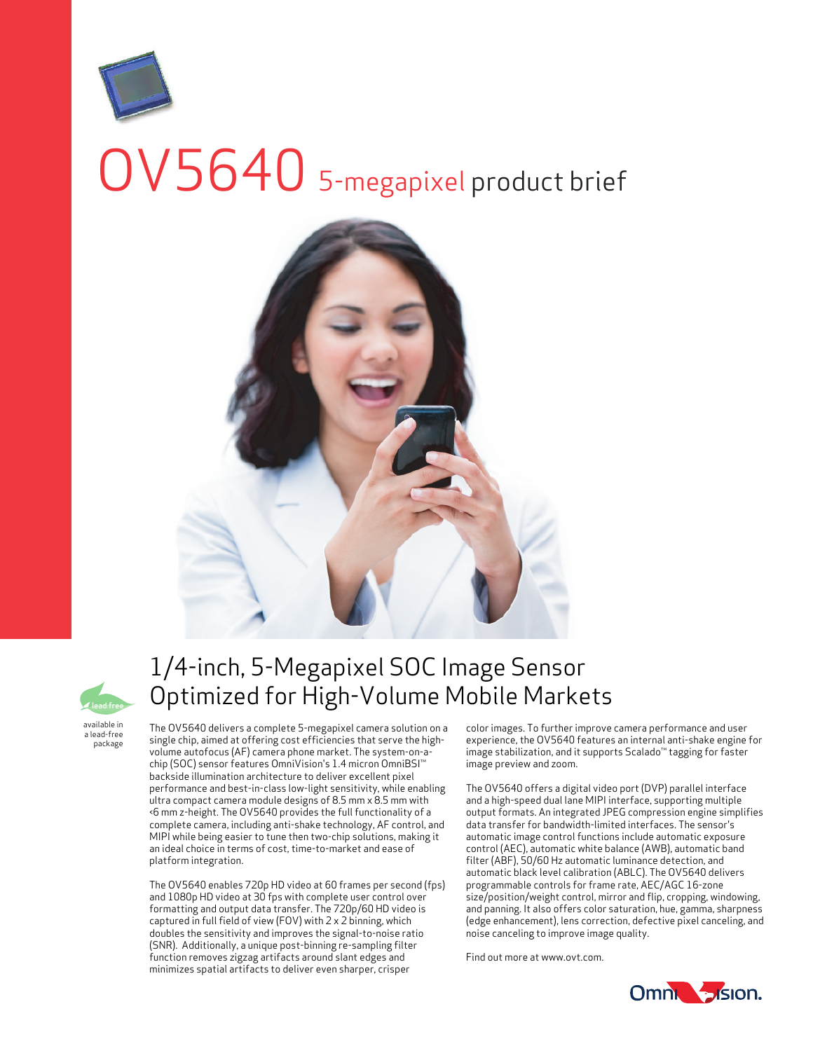# OV5640 5-megapixel product brief





available in a lead-free package

## 1/4-inch, 5-Megapixel SOC Image Sensor Optimized for High-Volume Mobile Markets

The OV5640 delivers a complete 5-megapixel camera solution on a single chip, aimed at offering cost efficiencies that serve the highvolume autofocus (AF) camera phone market. The system-on-achip (SOC) sensor features OmniVision's 1.4 micron OmniBSI™ backside illumination architecture to deliver excellent pixel performance and best-in-class low-light sensitivity, while enabling ultra compact camera module designs of 8.5 mm x 8.5 mm with <6 mm z-height. The OV5640 provides the full functionality of a complete camera, including anti-shake technology, AF control, and MIPI while being easier to tune then two-chip solutions, making it an ideal choice in terms of cost, time-to-market and ease of platform integration.

The OV5640 enables 720p HD video at 60 frames per second (fps) and 1080p HD video at 30 fps with complete user control over formatting and output data transfer. The 720p/60 HD video is captured in full field of view (FOV) with 2 x 2 binning, which doubles the sensitivity and improves the signal-to-noise ratio (SNR). Additionally, a unique post-binning re-sampling filter function removes zigzag artifacts around slant edges and minimizes spatial artifacts to deliver even sharper, crisper

color images. To further improve camera performance and user experience, the OV5640 features an internal anti-shake engine for image stabilization, and it supports Scalado™ tagging for faster image preview and zoom.

The OV5640 offers a digital video port (DVP) parallel interface and a high-speed dual lane MIPI interface, supporting multiple output formats. An integrated JPEG compression engine simplifies data transfer for bandwidth-limited interfaces. The sensor's automatic image control functions include automatic exposure control (AEC), automatic white balance (AWB), automatic band filter (ABF), 50/60 Hz automatic luminance detection, and automatic black level calibration (ABLC). The OV5640 delivers programmable controls for frame rate, AEC/AGC 16-zone size/position/weight control, mirror and flip, cropping, windowing, and panning. It also offers color saturation, hue, gamma, sharpness (edge enhancement), lens correction, defective pixel canceling, and noise canceling to improve image quality.

Find out more at www.ovt.com.